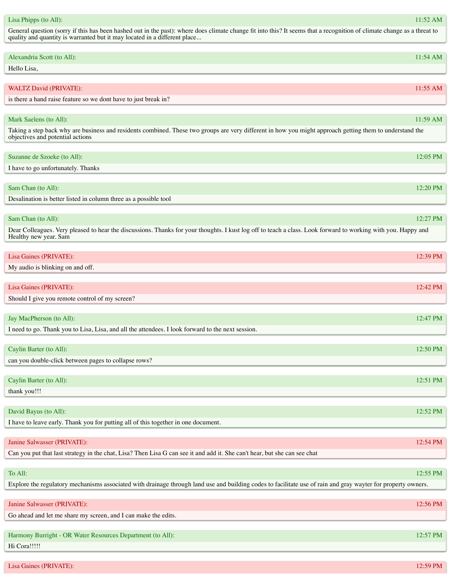| Alexandria Scott (to All):                                                                                                                                    | 11:54 AM   |
|---------------------------------------------------------------------------------------------------------------------------------------------------------------|------------|
| Hello Lisa,                                                                                                                                                   |            |
|                                                                                                                                                               |            |
| <b>WALTZ David (PRIVATE):</b>                                                                                                                                 | $11:55$ AM |
| is there a hand raise feature so we dont have to just break in?                                                                                               |            |
|                                                                                                                                                               |            |
| Mark Saelens (to All):                                                                                                                                        | 11:59 AM   |
| Taking a step back why are business and residents combined. These two groups are very different in how you might approach getting them to understand the      |            |
| objectives and potential actions                                                                                                                              |            |
| Suzanne de Szoeke (to All):                                                                                                                                   | 12:05 PM   |
| I have to go unfortunately. Thanks                                                                                                                            |            |
|                                                                                                                                                               |            |
| Sam Chan (to All):                                                                                                                                            | 12:20 PM   |
| Desalination is better listed in column three as a possible tool                                                                                              |            |
|                                                                                                                                                               |            |
| Sam Chan (to All):                                                                                                                                            | 12:27 PM   |
| Dear Colleagues. Very pleased to hear the discussions. Thanks for your thoughts. I kust log off to teach a class. Look forward to working with you. Happy and |            |
| Healthy new year. Sam                                                                                                                                         |            |
|                                                                                                                                                               |            |
| Lisa Gaines (PRIVATE):                                                                                                                                        | 12:39 PM   |
| My audio is blinking on and off.                                                                                                                              |            |
|                                                                                                                                                               |            |
| Lisa Gaines (PRIVATE):                                                                                                                                        | 12:42 PM   |
| Should I give you remote control of my screen?                                                                                                                |            |
|                                                                                                                                                               |            |
| Jay MacPherson (to All):                                                                                                                                      | 12:47 PM   |
| I need to go. Thank you to Lisa, Lisa, and all the attendees. I look forward to the next session.                                                             |            |
|                                                                                                                                                               |            |
| Caylin Barter (to All):                                                                                                                                       | 12:50 PM   |
| can you double-click between pages to collapse rows?                                                                                                          |            |
|                                                                                                                                                               |            |
| Caylin Barter (to All):                                                                                                                                       | 12:51 PM   |
| thank you!!!                                                                                                                                                  |            |
|                                                                                                                                                               |            |
| David Bayus (to All):                                                                                                                                         | 12:52 PM   |
| I have to leave early. Thank you for putting all of this together in one document.                                                                            |            |
|                                                                                                                                                               |            |
| Janine Salwasser (PRIVATE):                                                                                                                                   | 12:54 PM   |
| Can you put that last strategy in the chat, Lisa? Then Lisa G can see it and add it. She can't hear, but she can see chat                                     |            |
|                                                                                                                                                               |            |
| To All:                                                                                                                                                       | 12:55 PM   |
| Explore the regulatory mechanisms associated with drainage through land use and building codes to facilitate use of rain and gray wayter for property owners. |            |
|                                                                                                                                                               |            |
| Janine Salwasser (PRIVATE):                                                                                                                                   | 12:56 PM   |
| Go ahead and let me share my screen, and I can make the edits.                                                                                                |            |
|                                                                                                                                                               |            |
| Harmony Burright - OR Water Resources Department (to All):                                                                                                    | 12:57 PM   |

Hi Cora!!!!!

## 11:52 AM

Lisa Phipps (to All): General question (sorry if this has been hashed out in the past): where does climate change fit into this? It seems that a recognition of climate change as a threat to

quality and quantity is warranted but it may located in a different place...

| Suzanne de Szoeke (to All):        | $12:05$ PM |
|------------------------------------|------------|
| I have to go unfortunately. Thanks |            |
|                                    |            |

| Should<br>e control of my<br>$\sigma$ 1V<br>screen.<br>: vou remote- |  |
|----------------------------------------------------------------------|--|
|                                                                      |  |